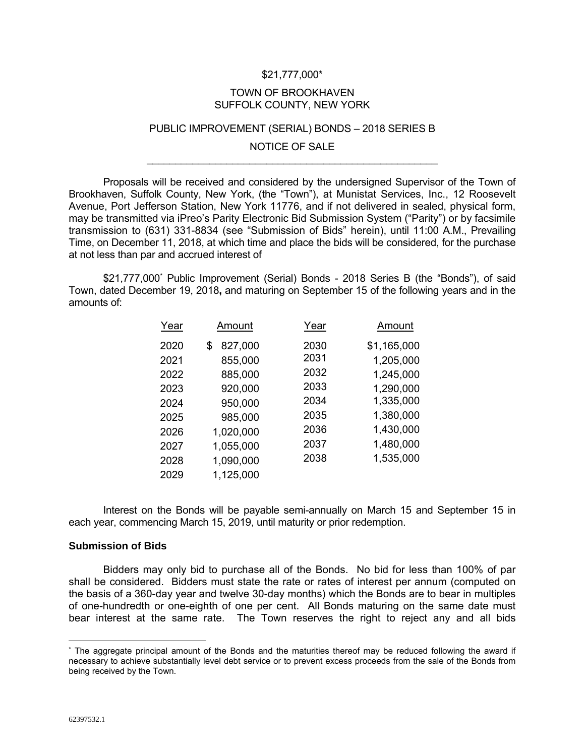## \$21,777,000\*

### TOWN OF BROOKHAVEN SUFFOLK COUNTY, NEW YORK

## PUBLIC IMPROVEMENT (SERIAL) BONDS – 2018 SERIES B

## NOTICE OF SALE \_\_\_\_\_\_\_\_\_\_\_\_\_\_\_\_\_\_\_\_\_\_\_\_\_\_\_\_\_\_\_\_\_\_\_\_\_\_\_\_\_\_\_\_\_\_\_\_\_\_\_

Proposals will be received and considered by the undersigned Supervisor of the Town of Brookhaven, Suffolk County, New York, (the "Town"), at Munistat Services, Inc., 12 Roosevelt Avenue, Port Jefferson Station, New York 11776, and if not delivered in sealed, physical form, may be transmitted via iPreo's Parity Electronic Bid Submission System ("Parity") or by facsimile transmission to (631) 331-8834 (see "Submission of Bids" herein), until 11:00 A.M., Prevailing Time, on December 11, 2018, at which time and place the bids will be considered, for the purchase at not less than par and accrued interest of

\$21,777,000\* Public Improvement (Serial) Bonds - 2018 Series B (the "Bonds"), of said Town, dated December 19, 2018**,** and maturing on September 15 of the following years and in the amounts of:

| Year | <u>Amount</u> | Year | Amount      |
|------|---------------|------|-------------|
| 2020 | 827,000<br>S  | 2030 | \$1,165,000 |
| 2021 | 855,000       | 2031 | 1,205,000   |
| 2022 | 885,000       | 2032 | 1,245,000   |
| 2023 | 920,000       | 2033 | 1,290,000   |
| 2024 | 950,000       | 2034 | 1,335,000   |
| 2025 | 985,000       | 2035 | 1,380,000   |
| 2026 | 1,020,000     | 2036 | 1,430,000   |
| 2027 | 1,055,000     | 2037 | 1,480,000   |
| 2028 | 1,090,000     | 2038 | 1,535,000   |
| 2029 | 1,125,000     |      |             |

Interest on the Bonds will be payable semi-annually on March 15 and September 15 in each year, commencing March 15, 2019, until maturity or prior redemption.

## **Submission of Bids**

Bidders may only bid to purchase all of the Bonds. No bid for less than 100% of par shall be considered. Bidders must state the rate or rates of interest per annum (computed on the basis of a 360-day year and twelve 30-day months) which the Bonds are to bear in multiples of one-hundredth or one-eighth of one per cent. All Bonds maturing on the same date must bear interest at the same rate. The Town reserves the right to reject any and all bids

 $\overline{a}$ 

<sup>\*</sup> The aggregate principal amount of the Bonds and the maturities thereof may be reduced following the award if necessary to achieve substantially level debt service or to prevent excess proceeds from the sale of the Bonds from being received by the Town.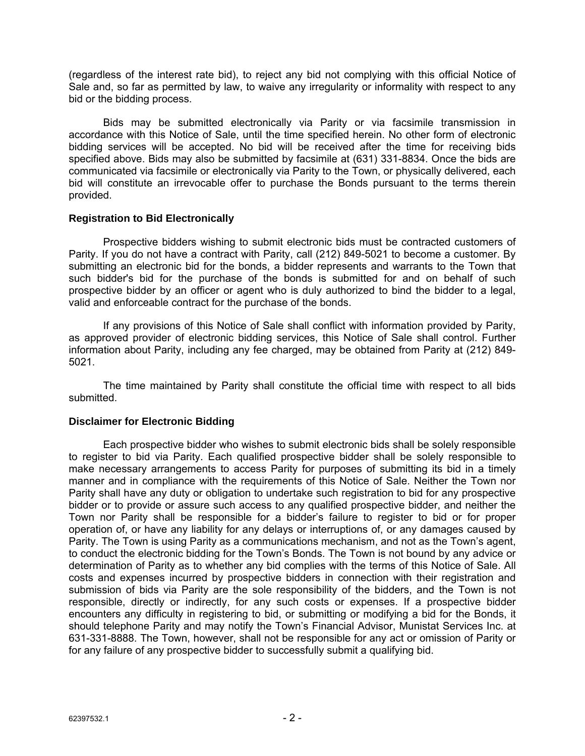(regardless of the interest rate bid), to reject any bid not complying with this official Notice of Sale and, so far as permitted by law, to waive any irregularity or informality with respect to any bid or the bidding process.

Bids may be submitted electronically via Parity or via facsimile transmission in accordance with this Notice of Sale, until the time specified herein. No other form of electronic bidding services will be accepted. No bid will be received after the time for receiving bids specified above. Bids may also be submitted by facsimile at (631) 331-8834. Once the bids are communicated via facsimile or electronically via Parity to the Town, or physically delivered, each bid will constitute an irrevocable offer to purchase the Bonds pursuant to the terms therein provided.

# **Registration to Bid Electronically**

Prospective bidders wishing to submit electronic bids must be contracted customers of Parity. If you do not have a contract with Parity, call (212) 849-5021 to become a customer. By submitting an electronic bid for the bonds, a bidder represents and warrants to the Town that such bidder's bid for the purchase of the bonds is submitted for and on behalf of such prospective bidder by an officer or agent who is duly authorized to bind the bidder to a legal, valid and enforceable contract for the purchase of the bonds.

If any provisions of this Notice of Sale shall conflict with information provided by Parity, as approved provider of electronic bidding services, this Notice of Sale shall control. Further information about Parity, including any fee charged, may be obtained from Parity at (212) 849- 5021.

The time maintained by Parity shall constitute the official time with respect to all bids submitted.

# **Disclaimer for Electronic Bidding**

Each prospective bidder who wishes to submit electronic bids shall be solely responsible to register to bid via Parity. Each qualified prospective bidder shall be solely responsible to make necessary arrangements to access Parity for purposes of submitting its bid in a timely manner and in compliance with the requirements of this Notice of Sale. Neither the Town nor Parity shall have any duty or obligation to undertake such registration to bid for any prospective bidder or to provide or assure such access to any qualified prospective bidder, and neither the Town nor Parity shall be responsible for a bidder's failure to register to bid or for proper operation of, or have any liability for any delays or interruptions of, or any damages caused by Parity. The Town is using Parity as a communications mechanism, and not as the Town's agent, to conduct the electronic bidding for the Town's Bonds. The Town is not bound by any advice or determination of Parity as to whether any bid complies with the terms of this Notice of Sale. All costs and expenses incurred by prospective bidders in connection with their registration and submission of bids via Parity are the sole responsibility of the bidders, and the Town is not responsible, directly or indirectly, for any such costs or expenses. If a prospective bidder encounters any difficulty in registering to bid, or submitting or modifying a bid for the Bonds, it should telephone Parity and may notify the Town's Financial Advisor, Munistat Services Inc. at 631-331-8888. The Town, however, shall not be responsible for any act or omission of Parity or for any failure of any prospective bidder to successfully submit a qualifying bid.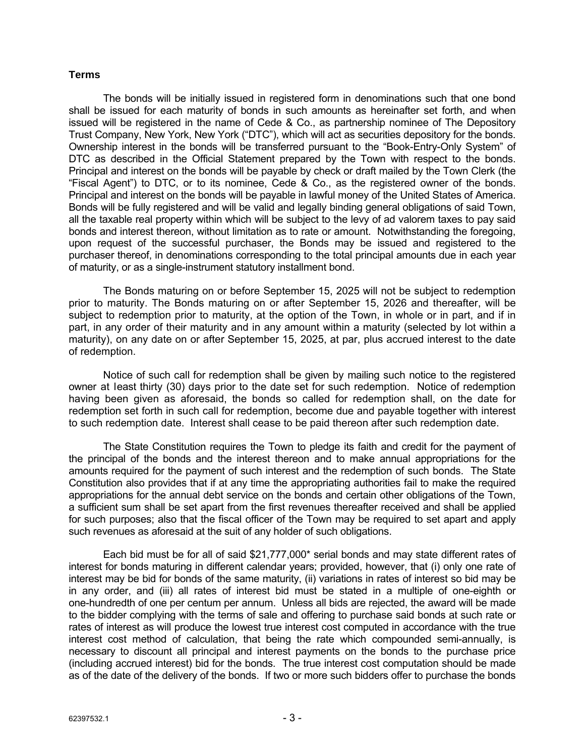## **Terms**

The bonds will be initially issued in registered form in denominations such that one bond shall be issued for each maturity of bonds in such amounts as hereinafter set forth, and when issued will be registered in the name of Cede & Co., as partnership nominee of The Depository Trust Company, New York, New York ("DTC"), which will act as securities depository for the bonds. Ownership interest in the bonds will be transferred pursuant to the "Book-Entry-Only System" of DTC as described in the Official Statement prepared by the Town with respect to the bonds. Principal and interest on the bonds will be payable by check or draft mailed by the Town Clerk (the "Fiscal Agent") to DTC, or to its nominee, Cede & Co., as the registered owner of the bonds. Principal and interest on the bonds will be payable in lawful money of the United States of America. Bonds will be fully registered and will be valid and legally binding general obligations of said Town, all the taxable real property within which will be subject to the levy of ad valorem taxes to pay said bonds and interest thereon, without limitation as to rate or amount. Notwithstanding the foregoing, upon request of the successful purchaser, the Bonds may be issued and registered to the purchaser thereof, in denominations corresponding to the total principal amounts due in each year of maturity, or as a single-instrument statutory installment bond.

The Bonds maturing on or before September 15, 2025 will not be subject to redemption prior to maturity. The Bonds maturing on or after September 15, 2026 and thereafter, will be subject to redemption prior to maturity, at the option of the Town, in whole or in part, and if in part, in any order of their maturity and in any amount within a maturity (selected by lot within a maturity), on any date on or after September 15, 2025, at par, plus accrued interest to the date of redemption.

Notice of such call for redemption shall be given by mailing such notice to the registered owner at least thirty (30) days prior to the date set for such redemption. Notice of redemption having been given as aforesaid, the bonds so called for redemption shall, on the date for redemption set forth in such call for redemption, become due and payable together with interest to such redemption date. Interest shall cease to be paid thereon after such redemption date.

The State Constitution requires the Town to pledge its faith and credit for the payment of the principal of the bonds and the interest thereon and to make annual appropriations for the amounts required for the payment of such interest and the redemption of such bonds. The State Constitution also provides that if at any time the appropriating authorities fail to make the required appropriations for the annual debt service on the bonds and certain other obligations of the Town, a sufficient sum shall be set apart from the first revenues thereafter received and shall be applied for such purposes; also that the fiscal officer of the Town may be required to set apart and apply such revenues as aforesaid at the suit of any holder of such obligations.

Each bid must be for all of said \$21,777,000\* serial bonds and may state different rates of interest for bonds maturing in different calendar years; provided, however, that (i) only one rate of interest may be bid for bonds of the same maturity, (ii) variations in rates of interest so bid may be in any order, and (iii) all rates of interest bid must be stated in a multiple of one-eighth or one-hundredth of one per centum per annum. Unless all bids are rejected, the award will be made to the bidder complying with the terms of sale and offering to purchase said bonds at such rate or rates of interest as will produce the lowest true interest cost computed in accordance with the true interest cost method of calculation, that being the rate which compounded semi-annually, is necessary to discount all principal and interest payments on the bonds to the purchase price (including accrued interest) bid for the bonds. The true interest cost computation should be made as of the date of the delivery of the bonds. If two or more such bidders offer to purchase the bonds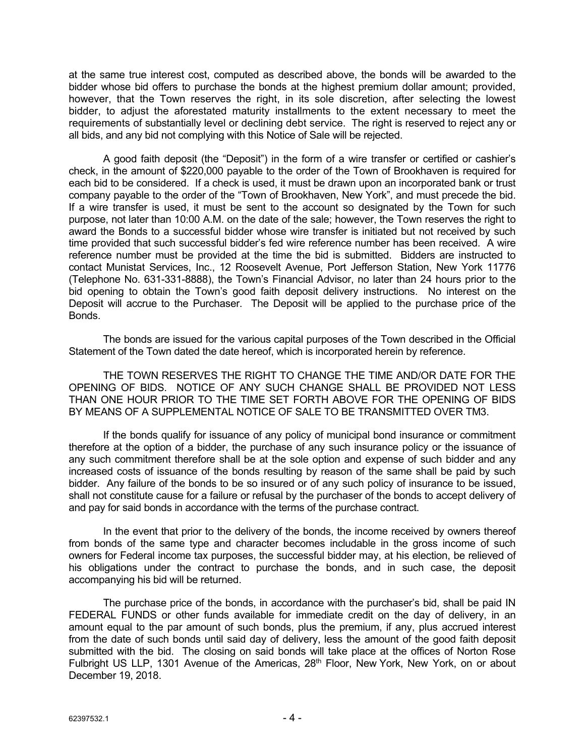at the same true interest cost, computed as described above, the bonds will be awarded to the bidder whose bid offers to purchase the bonds at the highest premium dollar amount; provided, however, that the Town reserves the right, in its sole discretion, after selecting the lowest bidder, to adjust the aforestated maturity installments to the extent necessary to meet the requirements of substantially level or declining debt service. The right is reserved to reject any or all bids, and any bid not complying with this Notice of Sale will be rejected.

A good faith deposit (the "Deposit") in the form of a wire transfer or certified or cashier's check, in the amount of \$220,000 payable to the order of the Town of Brookhaven is required for each bid to be considered. If a check is used, it must be drawn upon an incorporated bank or trust company payable to the order of the "Town of Brookhaven, New York", and must precede the bid. If a wire transfer is used, it must be sent to the account so designated by the Town for such purpose, not later than 10:00 A.M. on the date of the sale; however, the Town reserves the right to award the Bonds to a successful bidder whose wire transfer is initiated but not received by such time provided that such successful bidder's fed wire reference number has been received. A wire reference number must be provided at the time the bid is submitted. Bidders are instructed to contact Munistat Services, Inc., 12 Roosevelt Avenue, Port Jefferson Station, New York 11776 (Telephone No. 631-331-8888), the Town's Financial Advisor, no later than 24 hours prior to the bid opening to obtain the Town's good faith deposit delivery instructions. No interest on the Deposit will accrue to the Purchaser. The Deposit will be applied to the purchase price of the Bonds.

The bonds are issued for the various capital purposes of the Town described in the Official Statement of the Town dated the date hereof, which is incorporated herein by reference.

THE TOWN RESERVES THE RIGHT TO CHANGE THE TIME AND/OR DATE FOR THE OPENING OF BIDS. NOTICE OF ANY SUCH CHANGE SHALL BE PROVIDED NOT LESS THAN ONE HOUR PRIOR TO THE TIME SET FORTH ABOVE FOR THE OPENING OF BIDS BY MEANS OF A SUPPLEMENTAL NOTICE OF SALE TO BE TRANSMITTED OVER TM3.

If the bonds qualify for issuance of any policy of municipal bond insurance or commitment therefore at the option of a bidder, the purchase of any such insurance policy or the issuance of any such commitment therefore shall be at the sole option and expense of such bidder and any increased costs of issuance of the bonds resulting by reason of the same shall be paid by such bidder. Any failure of the bonds to be so insured or of any such policy of insurance to be issued, shall not constitute cause for a failure or refusal by the purchaser of the bonds to accept delivery of and pay for said bonds in accordance with the terms of the purchase contract.

In the event that prior to the delivery of the bonds, the income received by owners thereof from bonds of the same type and character becomes includable in the gross income of such owners for Federal income tax purposes, the successful bidder may, at his election, be relieved of his obligations under the contract to purchase the bonds, and in such case, the deposit accompanying his bid will be returned.

The purchase price of the bonds, in accordance with the purchaser's bid, shall be paid IN FEDERAL FUNDS or other funds available for immediate credit on the day of delivery, in an amount equal to the par amount of such bonds, plus the premium, if any, plus accrued interest from the date of such bonds until said day of delivery, less the amount of the good faith deposit submitted with the bid. The closing on said bonds will take place at the offices of Norton Rose Fulbright US LLP, 1301 Avenue of the Americas, 28<sup>th</sup> Floor, New York, New York, on or about December 19, 2018.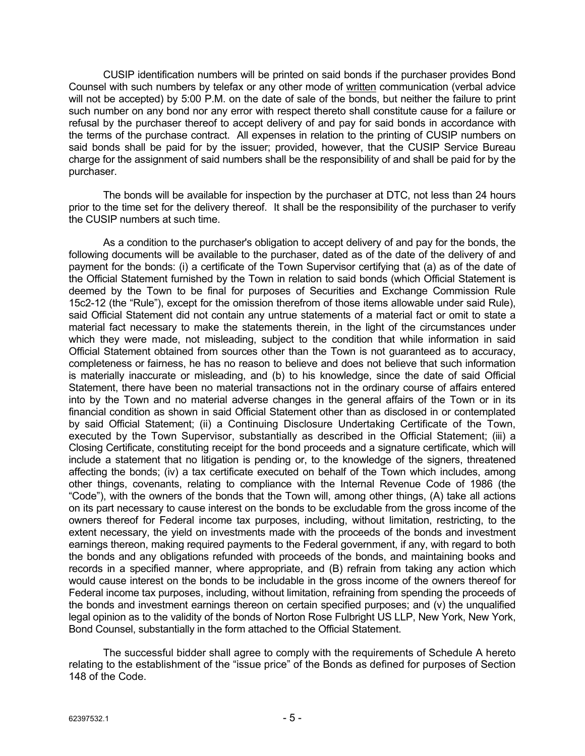CUSIP identification numbers will be printed on said bonds if the purchaser provides Bond Counsel with such numbers by telefax or any other mode of written communication (verbal advice will not be accepted) by 5:00 P.M. on the date of sale of the bonds, but neither the failure to print such number on any bond nor any error with respect thereto shall constitute cause for a failure or refusal by the purchaser thereof to accept delivery of and pay for said bonds in accordance with the terms of the purchase contract. All expenses in relation to the printing of CUSIP numbers on said bonds shall be paid for by the issuer; provided, however, that the CUSIP Service Bureau charge for the assignment of said numbers shall be the responsibility of and shall be paid for by the purchaser.

The bonds will be available for inspection by the purchaser at DTC, not less than 24 hours prior to the time set for the delivery thereof. It shall be the responsibility of the purchaser to verify the CUSIP numbers at such time.

As a condition to the purchaser's obligation to accept delivery of and pay for the bonds, the following documents will be available to the purchaser, dated as of the date of the delivery of and payment for the bonds: (i) a certificate of the Town Supervisor certifying that (a) as of the date of the Official Statement furnished by the Town in relation to said bonds (which Official Statement is deemed by the Town to be final for purposes of Securities and Exchange Commission Rule 15c2-12 (the "Rule"), except for the omission therefrom of those items allowable under said Rule), said Official Statement did not contain any untrue statements of a material fact or omit to state a material fact necessary to make the statements therein, in the light of the circumstances under which they were made, not misleading, subject to the condition that while information in said Official Statement obtained from sources other than the Town is not guaranteed as to accuracy, completeness or fairness, he has no reason to believe and does not believe that such information is materially inaccurate or misleading, and (b) to his knowledge, since the date of said Official Statement, there have been no material transactions not in the ordinary course of affairs entered into by the Town and no material adverse changes in the general affairs of the Town or in its financial condition as shown in said Official Statement other than as disclosed in or contemplated by said Official Statement; (ii) a Continuing Disclosure Undertaking Certificate of the Town, executed by the Town Supervisor, substantially as described in the Official Statement; (iii) a Closing Certificate, constituting receipt for the bond proceeds and a signature certificate, which will include a statement that no litigation is pending or, to the knowledge of the signers, threatened affecting the bonds; (iv) a tax certificate executed on behalf of the Town which includes, among other things, covenants, relating to compliance with the Internal Revenue Code of 1986 (the "Code"), with the owners of the bonds that the Town will, among other things, (A) take all actions on its part necessary to cause interest on the bonds to be excludable from the gross income of the owners thereof for Federal income tax purposes, including, without limitation, restricting, to the extent necessary, the yield on investments made with the proceeds of the bonds and investment earnings thereon, making required payments to the Federal government, if any, with regard to both the bonds and any obligations refunded with proceeds of the bonds, and maintaining books and records in a specified manner, where appropriate, and (B) refrain from taking any action which would cause interest on the bonds to be includable in the gross income of the owners thereof for Federal income tax purposes, including, without limitation, refraining from spending the proceeds of the bonds and investment earnings thereon on certain specified purposes; and (v) the unqualified legal opinion as to the validity of the bonds of Norton Rose Fulbright US LLP, New York, New York, Bond Counsel, substantially in the form attached to the Official Statement.

The successful bidder shall agree to comply with the requirements of Schedule A hereto relating to the establishment of the "issue price" of the Bonds as defined for purposes of Section 148 of the Code.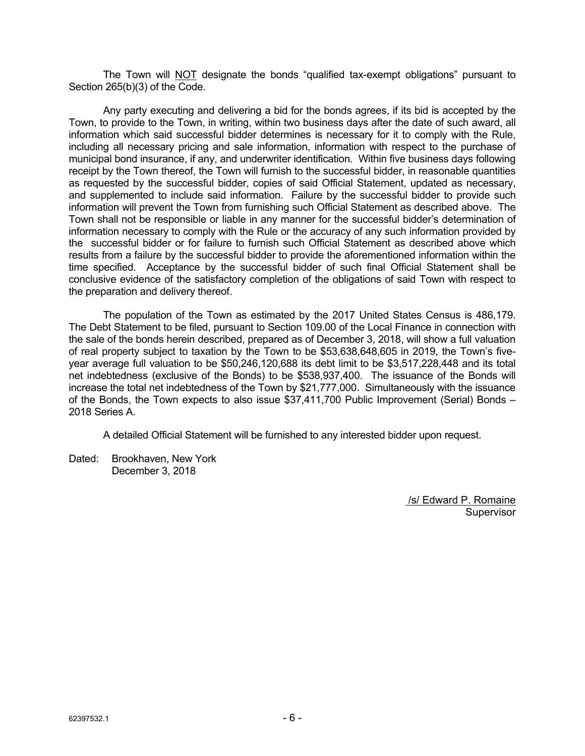The Town will NOT designate the bonds "qualified tax-exempt obligations" pursuant to Section 265(b)(3) of the Code.

Any party executing and delivering a bid for the bonds agrees, if its bid is accepted by the Town, to provide to the Town, in writing, within two business days after the date of such award, all information which said successful bidder determines is necessary for it to comply with the Rule, including all necessary pricing and sale information, information with respect to the purchase of municipal bond insurance, if any, and underwriter identification. Within five business days following receipt by the Town thereof, the Town will furnish to the successful bidder, in reasonable quantities as requested by the successful bidder, copies of said Official Statement, updated as necessary, and supplemented to include said information. Failure by the successful bidder to provide such information will prevent the Town from furnishing such Official Statement as described above. The Town shall not be responsible or liable in any manner for the successful bidder's determination of information necessary to comply with the Rule or the accuracy of any such information provided by the successful bidder or for failure to furnish such Official Statement as described above which results from a failure by the successful bidder to provide the aforementioned information within the time specified. Acceptance by the successful bidder of such final Official Statement shall be conclusive evidence of the satisfactory completion of the obligations of said Town with respect to the preparation and delivery thereof.

The population of the Town as estimated by the 2017 United States Census is 486,179. The Debt Statement to be filed, pursuant to Section 109.00 of the Local Finance in connection with the sale of the bonds herein described, prepared as of December 3, 2018, will show a full valuation of real property subject to taxation by the Town to be \$53,638,648,605 in 2019, the Town's fiveyear average full valuation to be \$50,246,120,688 its debt limit to be \$3,517,228,448 and its total net indebtedness (exclusive of the Bonds) to be \$538,937,400. The issuance of the Bonds will increase the total net indebtedness of the Town by \$21,777,000. Simultaneously with the issuance of the Bonds, the Town expects to also issue \$37,411,700 Public Improvement (Serial) Bonds – 2018 Series A.

A detailed Official Statement will be furnished to any interested bidder upon request.

Dated: Brookhaven, New York December 3, 2018

> /s/ Edward P. Romaine **Supervisor**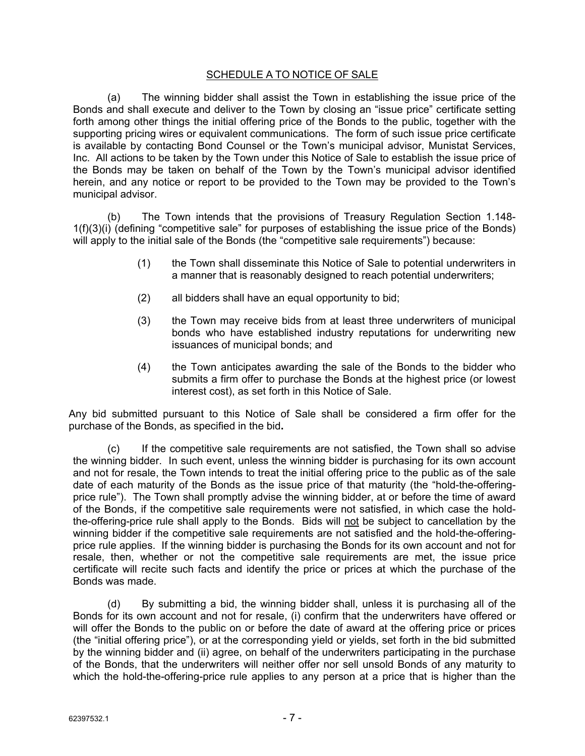# SCHEDULE A TO NOTICE OF SALE

(a) The winning bidder shall assist the Town in establishing the issue price of the Bonds and shall execute and deliver to the Town by closing an "issue price" certificate setting forth among other things the initial offering price of the Bonds to the public, together with the supporting pricing wires or equivalent communications. The form of such issue price certificate is available by contacting Bond Counsel or the Town's municipal advisor, Munistat Services, Inc. All actions to be taken by the Town under this Notice of Sale to establish the issue price of the Bonds may be taken on behalf of the Town by the Town's municipal advisor identified herein, and any notice or report to be provided to the Town may be provided to the Town's municipal advisor.

(b) The Town intends that the provisions of Treasury Regulation Section 1.148- 1(f)(3)(i) (defining "competitive sale" for purposes of establishing the issue price of the Bonds) will apply to the initial sale of the Bonds (the "competitive sale requirements") because:

- (1) the Town shall disseminate this Notice of Sale to potential underwriters in a manner that is reasonably designed to reach potential underwriters;
- (2) all bidders shall have an equal opportunity to bid;
- (3) the Town may receive bids from at least three underwriters of municipal bonds who have established industry reputations for underwriting new issuances of municipal bonds; and
- (4) the Town anticipates awarding the sale of the Bonds to the bidder who submits a firm offer to purchase the Bonds at the highest price (or lowest interest cost), as set forth in this Notice of Sale.

Any bid submitted pursuant to this Notice of Sale shall be considered a firm offer for the purchase of the Bonds, as specified in the bid**.** 

(c) If the competitive sale requirements are not satisfied, the Town shall so advise the winning bidder. In such event, unless the winning bidder is purchasing for its own account and not for resale, the Town intends to treat the initial offering price to the public as of the sale date of each maturity of the Bonds as the issue price of that maturity (the "hold-the-offeringprice rule"). The Town shall promptly advise the winning bidder, at or before the time of award of the Bonds, if the competitive sale requirements were not satisfied, in which case the holdthe-offering-price rule shall apply to the Bonds. Bids will not be subject to cancellation by the winning bidder if the competitive sale requirements are not satisfied and the hold-the-offeringprice rule applies. If the winning bidder is purchasing the Bonds for its own account and not for resale, then, whether or not the competitive sale requirements are met, the issue price certificate will recite such facts and identify the price or prices at which the purchase of the Bonds was made.

(d) By submitting a bid, the winning bidder shall, unless it is purchasing all of the Bonds for its own account and not for resale, (i) confirm that the underwriters have offered or will offer the Bonds to the public on or before the date of award at the offering price or prices (the "initial offering price"), or at the corresponding yield or yields, set forth in the bid submitted by the winning bidder and (ii) agree, on behalf of the underwriters participating in the purchase of the Bonds, that the underwriters will neither offer nor sell unsold Bonds of any maturity to which the hold-the-offering-price rule applies to any person at a price that is higher than the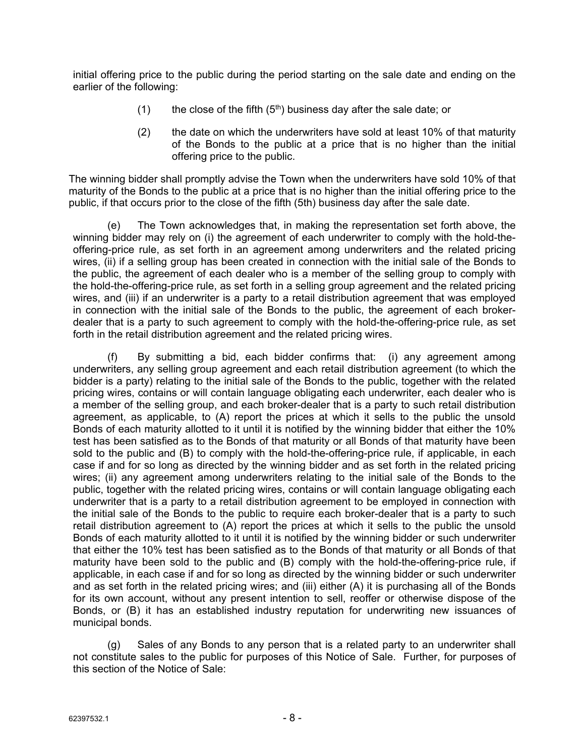initial offering price to the public during the period starting on the sale date and ending on the earlier of the following:

- (1) the close of the fifth  $(5<sup>th</sup>)$  business day after the sale date; or
- (2) the date on which the underwriters have sold at least 10% of that maturity of the Bonds to the public at a price that is no higher than the initial offering price to the public.

The winning bidder shall promptly advise the Town when the underwriters have sold 10% of that maturity of the Bonds to the public at a price that is no higher than the initial offering price to the public, if that occurs prior to the close of the fifth (5th) business day after the sale date.

(e) The Town acknowledges that, in making the representation set forth above, the winning bidder may rely on (i) the agreement of each underwriter to comply with the hold-theoffering-price rule, as set forth in an agreement among underwriters and the related pricing wires, (ii) if a selling group has been created in connection with the initial sale of the Bonds to the public, the agreement of each dealer who is a member of the selling group to comply with the hold-the-offering-price rule, as set forth in a selling group agreement and the related pricing wires, and (iii) if an underwriter is a party to a retail distribution agreement that was employed in connection with the initial sale of the Bonds to the public, the agreement of each brokerdealer that is a party to such agreement to comply with the hold-the-offering-price rule, as set forth in the retail distribution agreement and the related pricing wires.

(f) By submitting a bid, each bidder confirms that: (i) any agreement among underwriters, any selling group agreement and each retail distribution agreement (to which the bidder is a party) relating to the initial sale of the Bonds to the public, together with the related pricing wires, contains or will contain language obligating each underwriter, each dealer who is a member of the selling group, and each broker-dealer that is a party to such retail distribution agreement, as applicable, to (A) report the prices at which it sells to the public the unsold Bonds of each maturity allotted to it until it is notified by the winning bidder that either the 10% test has been satisfied as to the Bonds of that maturity or all Bonds of that maturity have been sold to the public and (B) to comply with the hold-the-offering-price rule, if applicable, in each case if and for so long as directed by the winning bidder and as set forth in the related pricing wires; (ii) any agreement among underwriters relating to the initial sale of the Bonds to the public, together with the related pricing wires, contains or will contain language obligating each underwriter that is a party to a retail distribution agreement to be employed in connection with the initial sale of the Bonds to the public to require each broker-dealer that is a party to such retail distribution agreement to (A) report the prices at which it sells to the public the unsold Bonds of each maturity allotted to it until it is notified by the winning bidder or such underwriter that either the 10% test has been satisfied as to the Bonds of that maturity or all Bonds of that maturity have been sold to the public and (B) comply with the hold-the-offering-price rule, if applicable, in each case if and for so long as directed by the winning bidder or such underwriter and as set forth in the related pricing wires; and (iii) either (A) it is purchasing all of the Bonds for its own account, without any present intention to sell, reoffer or otherwise dispose of the Bonds, or (B) it has an established industry reputation for underwriting new issuances of municipal bonds.

(g) Sales of any Bonds to any person that is a related party to an underwriter shall not constitute sales to the public for purposes of this Notice of Sale. Further, for purposes of this section of the Notice of Sale: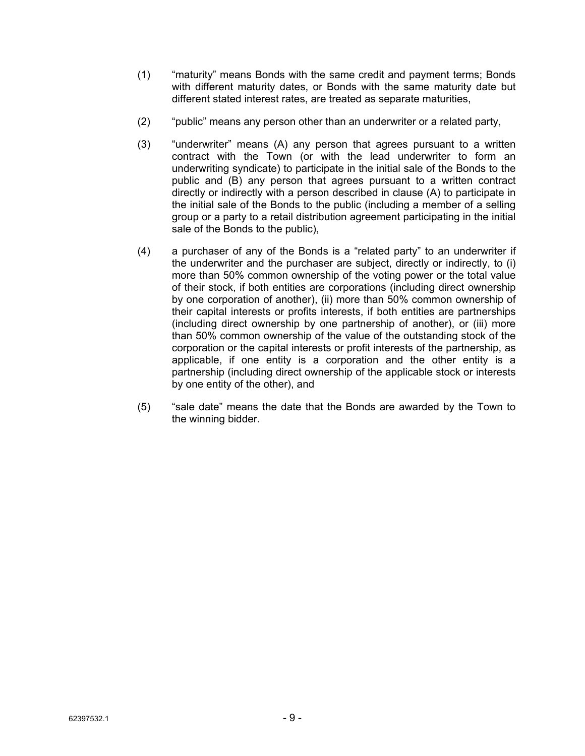- (1) "maturity" means Bonds with the same credit and payment terms; Bonds with different maturity dates, or Bonds with the same maturity date but different stated interest rates, are treated as separate maturities,
- (2) "public" means any person other than an underwriter or a related party,
- (3) "underwriter" means (A) any person that agrees pursuant to a written contract with the Town (or with the lead underwriter to form an underwriting syndicate) to participate in the initial sale of the Bonds to the public and (B) any person that agrees pursuant to a written contract directly or indirectly with a person described in clause (A) to participate in the initial sale of the Bonds to the public (including a member of a selling group or a party to a retail distribution agreement participating in the initial sale of the Bonds to the public),
- (4) a purchaser of any of the Bonds is a "related party" to an underwriter if the underwriter and the purchaser are subject, directly or indirectly, to (i) more than 50% common ownership of the voting power or the total value of their stock, if both entities are corporations (including direct ownership by one corporation of another), (ii) more than 50% common ownership of their capital interests or profits interests, if both entities are partnerships (including direct ownership by one partnership of another), or (iii) more than 50% common ownership of the value of the outstanding stock of the corporation or the capital interests or profit interests of the partnership, as applicable, if one entity is a corporation and the other entity is a partnership (including direct ownership of the applicable stock or interests by one entity of the other), and
- (5) "sale date" means the date that the Bonds are awarded by the Town to the winning bidder.